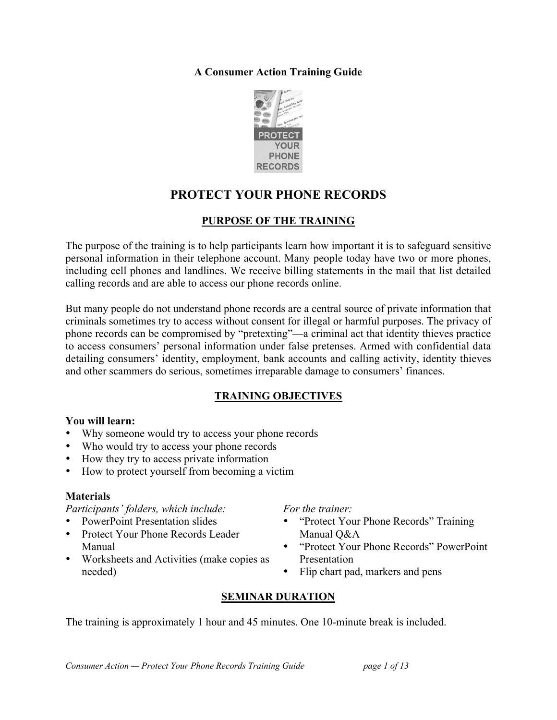## **A Consumer Action Training Guide**



# **PROTECT YOUR PHONE RECORDS**

# **PURPOSE OF THE TRAINING**

The purpose of the training is to help participants learn how important it is to safeguard sensitive personal information in their telephone account. Many people today have two or more phones, including cell phones and landlines. We receive billing statements in the mail that list detailed calling records and are able to access our phone records online.

But many people do not understand phone records are a central source of private information that criminals sometimes try to access without consent for illegal or harmful purposes. The privacy of phone records can be compromised by "pretexting"—a criminal act that identity thieves practice to access consumers' personal information under false pretenses. Armed with confidential data detailing consumers' identity, employment, bank accounts and calling activity, identity thieves and other scammers do serious, sometimes irreparable damage to consumers' finances.

# **TRAINING OBJECTIVES**

#### **You will learn:**

- Why someone would try to access your phone records
- Who would try to access your phone records
- How they try to access private information
- How to protect yourself from becoming a victim

### **Materials**

*Participants' folders, which include:*

- PowerPoint Presentation slides
- Protect Your Phone Records Leader Manual
- Worksheets and Activities (make copies as needed)

*For the trainer:*

- "Protect Your Phone Records" Training Manual Q&A
- "Protect Your Phone Records" PowerPoint Presentation
- Flip chart pad, markers and pens

# **SEMINAR DURATION**

The training is approximately 1 hour and 45 minutes. One 10-minute break is included.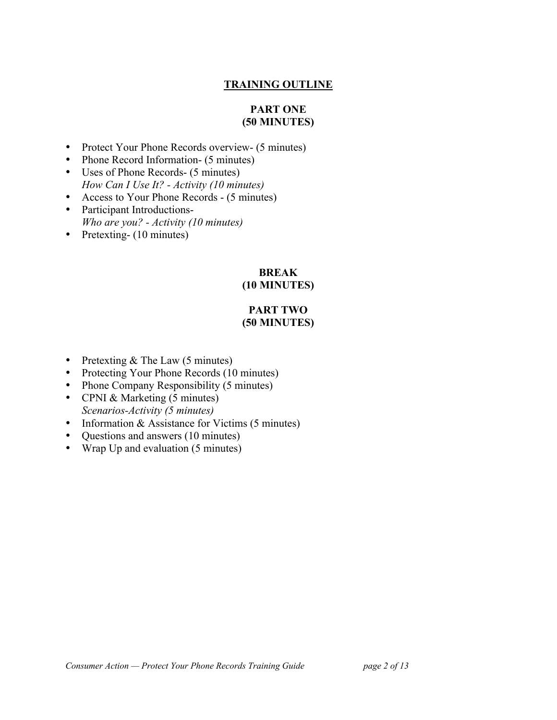# **TRAINING OUTLINE**

#### **PART ONE (50 MINUTES)**

- Protect Your Phone Records overview- (5 minutes)
- Phone Record Information- (5 minutes)
- Uses of Phone Records- (5 minutes) *How Can I Use It? - Activity (10 minutes)*
- Access to Your Phone Records (5 minutes)
- Participant Introductions-*Who are you? - Activity (10 minutes)*
- Pretexting- (10 minutes)

#### **BREAK (10 MINUTES)**

#### **PART TWO (50 MINUTES)**

- Pretexting & The Law (5 minutes)
- Protecting Your Phone Records (10 minutes)
- Phone Company Responsibility (5 minutes)
- CPNI & Marketing (5 minutes) *Scenarios-Activity (5 minutes)*
- Information & Assistance for Victims (5 minutes)
- Ouestions and answers (10 minutes)
- Wrap Up and evaluation (5 minutes)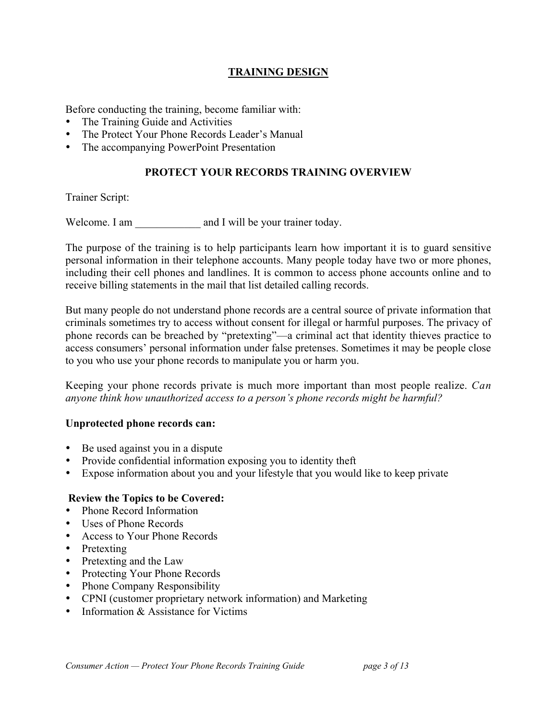# **TRAINING DESIGN**

Before conducting the training, become familiar with:

- The Training Guide and Activities
- The Protect Your Phone Records Leader's Manual
- The accompanying PowerPoint Presentation

## **PROTECT YOUR RECORDS TRAINING OVERVIEW**

Trainer Script:

Welcome. I am  $\qquad \qquad$  and I will be your trainer today.

The purpose of the training is to help participants learn how important it is to guard sensitive personal information in their telephone accounts. Many people today have two or more phones, including their cell phones and landlines. It is common to access phone accounts online and to receive billing statements in the mail that list detailed calling records.

But many people do not understand phone records are a central source of private information that criminals sometimes try to access without consent for illegal or harmful purposes. The privacy of phone records can be breached by "pretexting"—a criminal act that identity thieves practice to access consumers' personal information under false pretenses. Sometimes it may be people close to you who use your phone records to manipulate you or harm you.

Keeping your phone records private is much more important than most people realize. *Can anyone think how unauthorized access to a person's phone records might be harmful?*

#### **Unprotected phone records can:**

- Be used against you in a dispute
- Provide confidential information exposing you to identity theft
- Expose information about you and your lifestyle that you would like to keep private

#### **Review the Topics to be Covered:**

- Phone Record Information
- Uses of Phone Records
- Access to Your Phone Records
- Pretexting
- Pretexting and the Law
- Protecting Your Phone Records
- Phone Company Responsibility
- CPNI (customer proprietary network information) and Marketing
- Information & Assistance for Victims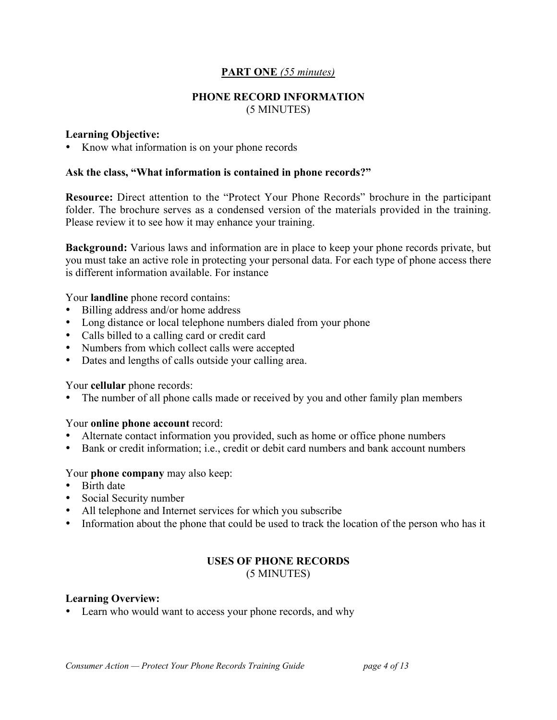#### **PART ONE** *(55 minutes)*

#### **PHONE RECORD INFORMATION** (5 MINUTES)

#### **Learning Objective:**

• Know what information is on your phone records

#### **Ask the class, "What information is contained in phone records?"**

**Resource:** Direct attention to the "Protect Your Phone Records" brochure in the participant folder. The brochure serves as a condensed version of the materials provided in the training. Please review it to see how it may enhance your training.

**Background:** Various laws and information are in place to keep your phone records private, but you must take an active role in protecting your personal data. For each type of phone access there is different information available. For instance

Your **landline** phone record contains:

- Billing address and/or home address
- Long distance or local telephone numbers dialed from your phone
- Calls billed to a calling card or credit card
- Numbers from which collect calls were accepted
- Dates and lengths of calls outside your calling area.

#### Your **cellular** phone records:

The number of all phone calls made or received by you and other family plan members

#### Your **online phone account** record:

- Alternate contact information you provided, such as home or office phone numbers
- Bank or credit information; i.e., credit or debit card numbers and bank account numbers

#### Your **phone company** may also keep:

- Birth date
- Social Security number
- All telephone and Internet services for which you subscribe
- Information about the phone that could be used to track the location of the person who has it

# **USES OF PHONE RECORDS**

(5 MINUTES)

#### **Learning Overview:**

• Learn who would want to access your phone records, and why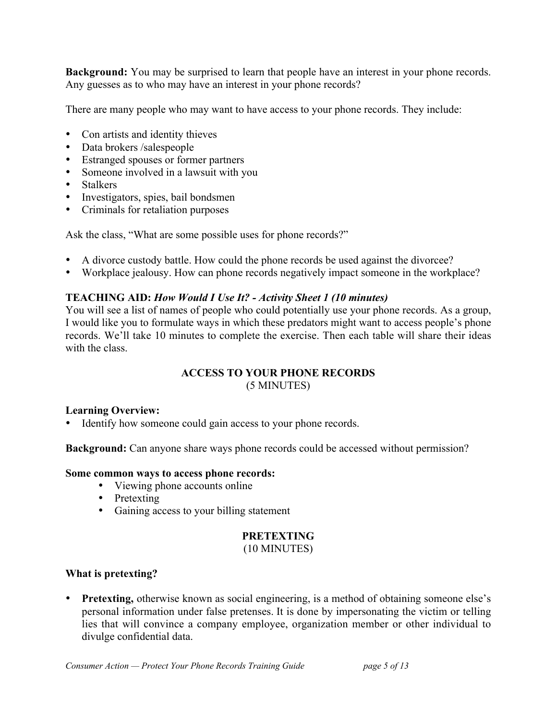**Background:** You may be surprised to learn that people have an interest in your phone records. Any guesses as to who may have an interest in your phone records?

There are many people who may want to have access to your phone records. They include:

- Con artists and identity thieves
- Data brokers /salespeople
- Estranged spouses or former partners
- Someone involved in a lawsuit with you
- Stalkers
- Investigators, spies, bail bondsmen
- Criminals for retaliation purposes

Ask the class, "What are some possible uses for phone records?"

- A divorce custody battle. How could the phone records be used against the divorcee?
- Workplace jealousy. How can phone records negatively impact someone in the workplace?

# **TEACHING AID:** *How Would I Use It? - Activity Sheet 1 (10 minutes)*

You will see a list of names of people who could potentially use your phone records. As a group, I would like you to formulate ways in which these predators might want to access people's phone records. We'll take 10 minutes to complete the exercise. Then each table will share their ideas with the class.

# **ACCESS TO YOUR PHONE RECORDS**

(5 MINUTES)

### **Learning Overview:**

Identify how someone could gain access to your phone records.

**Background:** Can anyone share ways phone records could be accessed without permission?

### **Some common ways to access phone records:**

- Viewing phone accounts online
- Pretexting
- Gaining access to your billing statement

# **PRETEXTING**

### (10 MINUTES)

### **What is pretexting?**

• **Pretexting,** otherwise known as social engineering, is a method of obtaining someone else's personal information under false pretenses. It is done by impersonating the victim or telling lies that will convince a company employee, organization member or other individual to divulge confidential data.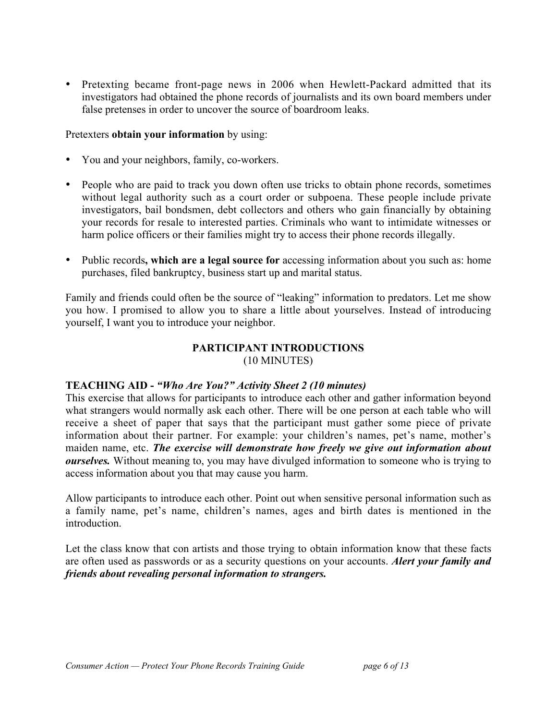• Pretexting became front-page news in 2006 when Hewlett-Packard admitted that its investigators had obtained the phone records of journalists and its own board members under false pretenses in order to uncover the source of boardroom leaks.

#### Pretexters **obtain your information** by using:

- You and your neighbors, family, co-workers.
- People who are paid to track you down often use tricks to obtain phone records, sometimes without legal authority such as a court order or subpoena. These people include private investigators, bail bondsmen, debt collectors and others who gain financially by obtaining your records for resale to interested parties. Criminals who want to intimidate witnesses or harm police officers or their families might try to access their phone records illegally.
- Public records**, which are a legal source for** accessing information about you such as: home purchases, filed bankruptcy, business start up and marital status.

Family and friends could often be the source of "leaking" information to predators. Let me show you how. I promised to allow you to share a little about yourselves. Instead of introducing yourself, I want you to introduce your neighbor.

#### **PARTICIPANT INTRODUCTIONS** (10 MINUTES)

### **TEACHING AID -** *"Who Are You?" Activity Sheet 2 (10 minutes)*

This exercise that allows for participants to introduce each other and gather information beyond what strangers would normally ask each other. There will be one person at each table who will receive a sheet of paper that says that the participant must gather some piece of private information about their partner. For example: your children's names, pet's name, mother's maiden name, etc. *The exercise will demonstrate how freely we give out information about ourselves.* Without meaning to, you may have divulged information to someone who is trying to access information about you that may cause you harm.

Allow participants to introduce each other. Point out when sensitive personal information such as a family name, pet's name, children's names, ages and birth dates is mentioned in the introduction.

Let the class know that con artists and those trying to obtain information know that these facts are often used as passwords or as a security questions on your accounts. *Alert your family and friends about revealing personal information to strangers.*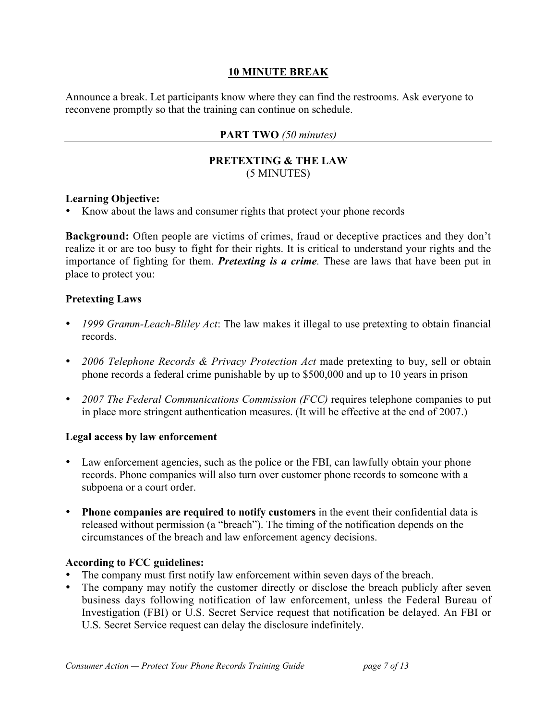## **10 MINUTE BREAK**

Announce a break. Let participants know where they can find the restrooms. Ask everyone to reconvene promptly so that the training can continue on schedule.

### **PART TWO** *(50 minutes)*

#### **PRETEXTING & THE LAW** (5 MINUTES)

#### **Learning Objective:**

• Know about the laws and consumer rights that protect your phone records

**Background:** Often people are victims of crimes, fraud or deceptive practices and they don't realize it or are too busy to fight for their rights. It is critical to understand your rights and the importance of fighting for them. *Pretexting is a crime.* These are laws that have been put in place to protect you:

#### **Pretexting Laws**

- *1999 Gramm-Leach-Bliley Act*: The law makes it illegal to use pretexting to obtain financial records.
- *2006 Telephone Records & Privacy Protection Act* made pretexting to buy, sell or obtain phone records a federal crime punishable by up to \$500,000 and up to 10 years in prison
- 2007 The Federal Communications Commission (FCC) requires telephone companies to put in place more stringent authentication measures. (It will be effective at the end of 2007.)

#### **Legal access by law enforcement**

- Law enforcement agencies, such as the police or the FBI, can lawfully obtain your phone records. Phone companies will also turn over customer phone records to someone with a subpoena or a court order.
- **Phone companies are required to notify customers** in the event their confidential data is released without permission (a "breach"). The timing of the notification depends on the circumstances of the breach and law enforcement agency decisions.

### **According to FCC guidelines:**

- The company must first notify law enforcement within seven days of the breach.
- The company may notify the customer directly or disclose the breach publicly after seven business days following notification of law enforcement, unless the Federal Bureau of Investigation (FBI) or U.S. Secret Service request that notification be delayed. An FBI or U.S. Secret Service request can delay the disclosure indefinitely.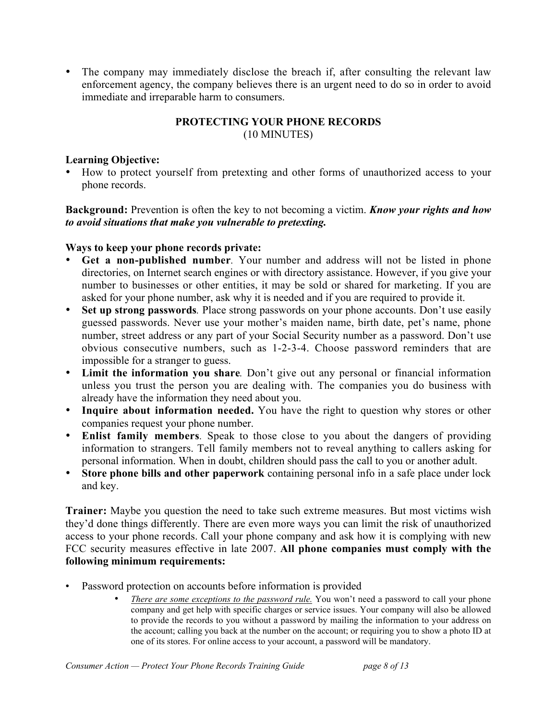• The company may immediately disclose the breach if, after consulting the relevant law enforcement agency, the company believes there is an urgent need to do so in order to avoid immediate and irreparable harm to consumers.

# **PROTECTING YOUR PHONE RECORDS**

(10 MINUTES)

### **Learning Objective:**

• How to protect yourself from pretexting and other forms of unauthorized access to your phone records.

**Background:** Prevention is often the key to not becoming a victim. *Know your rights and how to avoid situations that make you vulnerable to pretexting.*

### **Ways to keep your phone records private:**

- **Get a non-published number***.* Your number and address will not be listed in phone directories, on Internet search engines or with directory assistance. However, if you give your number to businesses or other entities, it may be sold or shared for marketing. If you are asked for your phone number, ask why it is needed and if you are required to provide it.
- Set up strong passwords. Place strong passwords on your phone accounts. Don't use easily guessed passwords. Never use your mother's maiden name, birth date, pet's name, phone number, street address or any part of your Social Security number as a password. Don't use obvious consecutive numbers, such as 1-2-3-4. Choose password reminders that are impossible for a stranger to guess.
- **Limit the information you share**. Don't give out any personal or financial information unless you trust the person you are dealing with. The companies you do business with already have the information they need about you.
- **Inquire about information needed.** You have the right to question why stores or other companies request your phone number.
- **Enlist family members***.* Speak to those close to you about the dangers of providing information to strangers. Tell family members not to reveal anything to callers asking for personal information. When in doubt, children should pass the call to you or another adult.
- **Store phone bills and other paperwork** containing personal info in a safe place under lock and key.

**Trainer:** Maybe you question the need to take such extreme measures. But most victims wish they'd done things differently. There are even more ways you can limit the risk of unauthorized access to your phone records. Call your phone company and ask how it is complying with new FCC security measures effective in late 2007. **All phone companies must comply with the following minimum requirements:**

- Password protection on accounts before information is provided
	- *There are some exceptions to the password rule.* You won't need a password to call your phone company and get help with specific charges or service issues. Your company will also be allowed to provide the records to you without a password by mailing the information to your address on the account; calling you back at the number on the account; or requiring you to show a photo ID at one of its stores. For online access to your account, a password will be mandatory.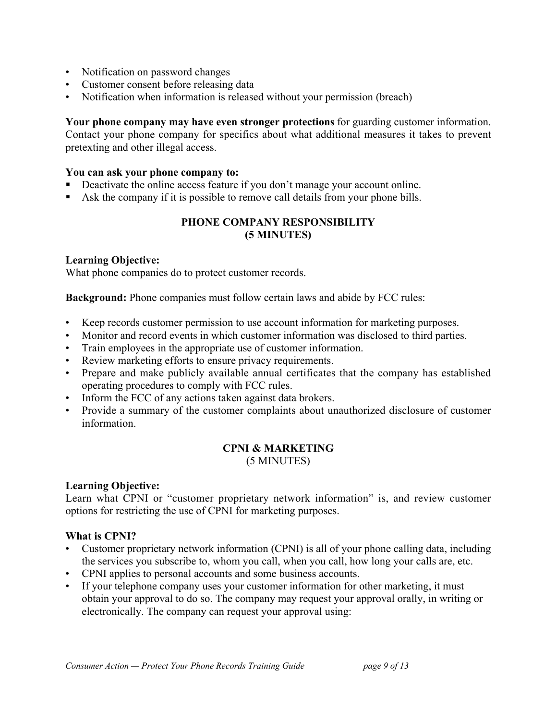- Notification on password changes
- Customer consent before releasing data
- Notification when information is released without your permission (breach)

**Your phone company may have even stronger protections** for guarding customer information. Contact your phone company for specifics about what additional measures it takes to prevent pretexting and other illegal access.

#### **You can ask your phone company to:**

- Deactivate the online access feature if you don't manage your account online.
- Ask the company if it is possible to remove call details from your phone bills.

# **PHONE COMPANY RESPONSIBILITY (5 MINUTES)**

#### **Learning Objective:**

What phone companies do to protect customer records.

**Background:** Phone companies must follow certain laws and abide by FCC rules:

- Keep records customer permission to use account information for marketing purposes.
- Monitor and record events in which customer information was disclosed to third parties.
- Train employees in the appropriate use of customer information.
- Review marketing efforts to ensure privacy requirements.
- Prepare and make publicly available annual certificates that the company has established operating procedures to comply with FCC rules.
- Inform the FCC of any actions taken against data brokers.
- Provide a summary of the customer complaints about unauthorized disclosure of customer information.

# **CPNI & MARKETING**

(5 MINUTES)

### **Learning Objective:**

Learn what CPNI or "customer proprietary network information" is, and review customer options for restricting the use of CPNI for marketing purposes.

### **What is CPNI?**

- Customer proprietary network information (CPNI) is all of your phone calling data, including the services you subscribe to, whom you call, when you call, how long your calls are, etc.
- CPNI applies to personal accounts and some business accounts.
- If your telephone company uses your customer information for other marketing, it must obtain your approval to do so. The company may request your approval orally, in writing or electronically. The company can request your approval using: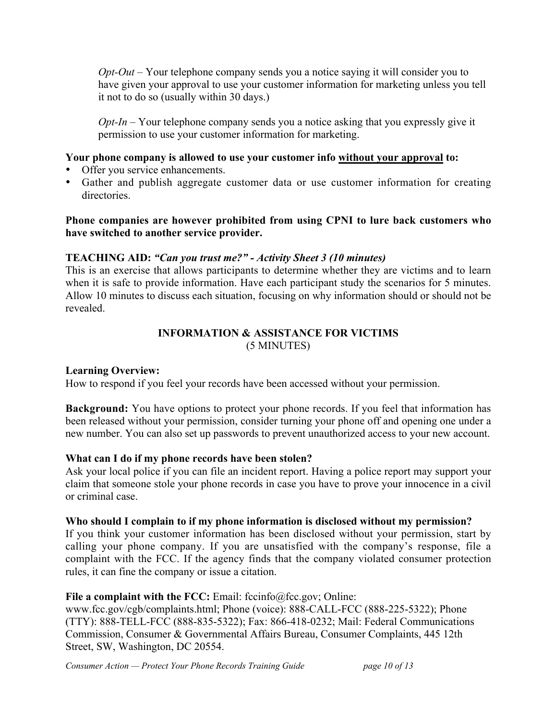*Opt-Out* – Your telephone company sends you a notice saying it will consider you to have given your approval to use your customer information for marketing unless you tell it not to do so (usually within 30 days.)

*Opt-In* – Your telephone company sends you a notice asking that you expressly give it permission to use your customer information for marketing.

## **Your phone company is allowed to use your customer info without your approval to:**

- Offer you service enhancements.
- Gather and publish aggregate customer data or use customer information for creating *directories*

## **Phone companies are however prohibited from using CPNI to lure back customers who have switched to another service provider.**

# **TEACHING AID:** *"Can you trust me?" - Activity Sheet 3 (10 minutes)*

This is an exercise that allows participants to determine whether they are victims and to learn when it is safe to provide information. Have each participant study the scenarios for 5 minutes. Allow 10 minutes to discuss each situation, focusing on why information should or should not be revealed.

## **INFORMATION & ASSISTANCE FOR VICTIMS** (5 MINUTES)

### **Learning Overview:**

How to respond if you feel your records have been accessed without your permission.

**Background:** You have options to protect your phone records. If you feel that information has been released without your permission, consider turning your phone off and opening one under a new number. You can also set up passwords to prevent unauthorized access to your new account.

### **What can I do if my phone records have been stolen?**

Ask your local police if you can file an incident report. Having a police report may support your claim that someone stole your phone records in case you have to prove your innocence in a civil or criminal case.

### **Who should I complain to if my phone information is disclosed without my permission?**

If you think your customer information has been disclosed without your permission, start by calling your phone company. If you are unsatisfied with the company's response, file a complaint with the FCC. If the agency finds that the company violated consumer protection rules, it can fine the company or issue a citation.

### **File a complaint with the FCC:** Email: fccinfo@fcc.gov; Online:

www.fcc.gov/cgb/complaints.html; Phone (voice): 888-CALL-FCC (888-225-5322); Phone (TTY): 888-TELL-FCC (888-835-5322); Fax: 866-418-0232; Mail: Federal Communications Commission, Consumer & Governmental Affairs Bureau, Consumer Complaints, 445 12th Street, SW, Washington, DC 20554.

*Consumer Action — Protect Your Phone Records Training Guide page 10 of 13*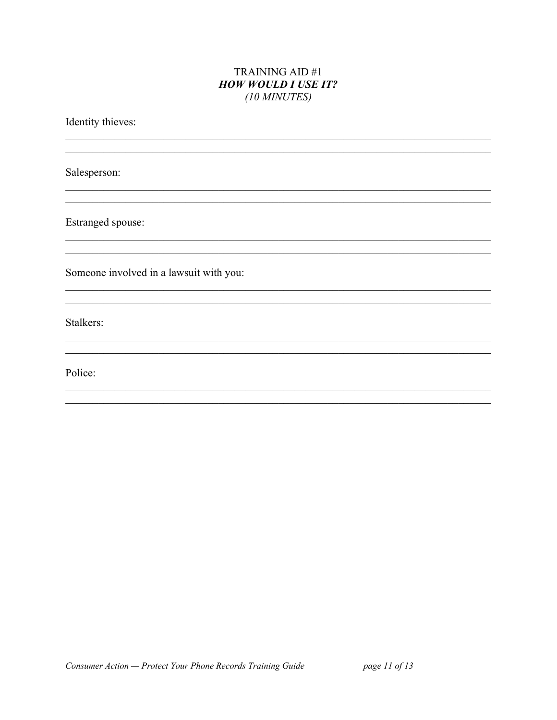#### **TRAINING AID #1 HOW WOULD I USE IT?** (10 MINUTES)

Identity thieves:

Salesperson:

Estranged spouse:

Someone involved in a lawsuit with you:

Stalkers:

Police: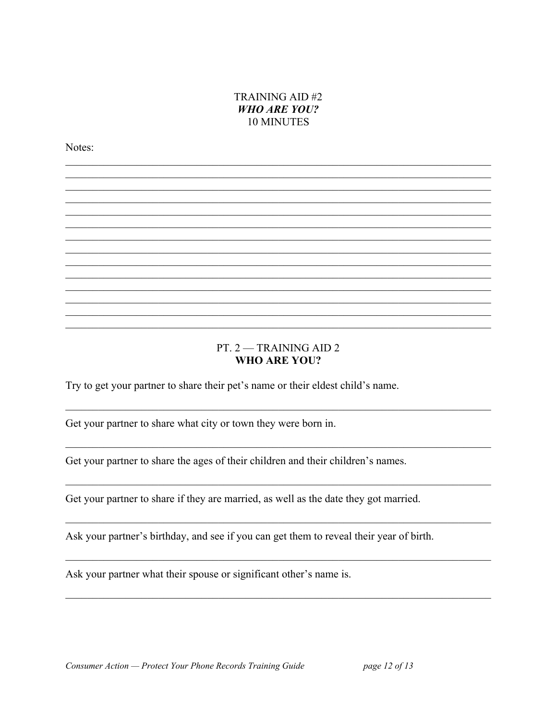### TRAINING AID #2 **WHO ARE YOU?** 10 MINUTES

Notes:

#### PT.  $2 - TRAINING AID 2$ **WHO ARE YOU?**

Try to get your partner to share their pet's name or their eldest child's name.

Get your partner to share what city or town they were born in.

Get your partner to share the ages of their children and their children's names.

Get your partner to share if they are married, as well as the date they got married.

Ask your partner's birthday, and see if you can get them to reveal their year of birth.

Ask your partner what their spouse or significant other's name is.